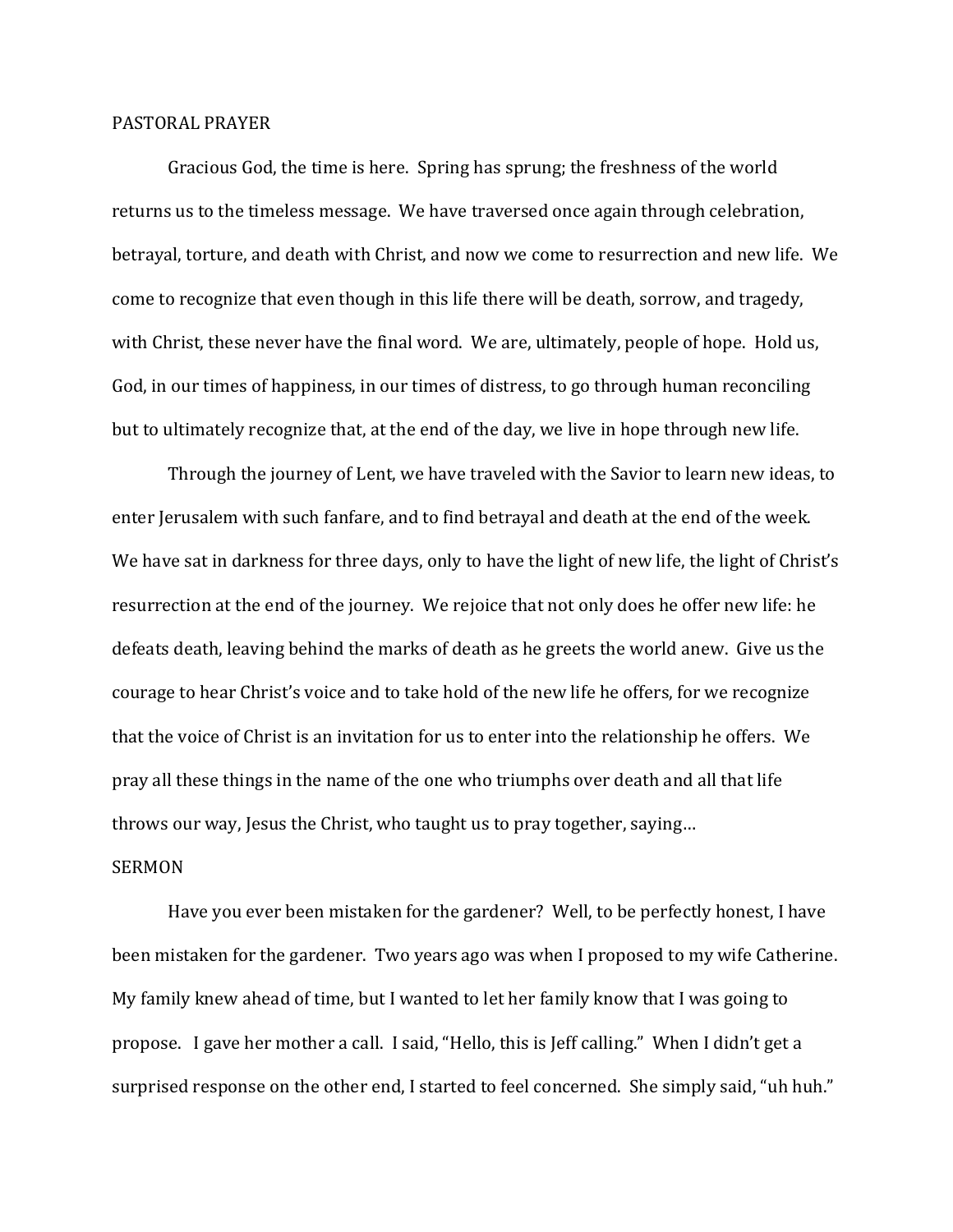## PASTORAL PRAYER

 Gracious God, the time is here. Spring has sprung; the freshness of the world returns us to the timeless message. We have traversed once again through celebration, betrayal, torture, and death with Christ, and now we come to resurrection and new life. We come to recognize that even though in this life there will be death, sorrow, and tragedy, with Christ, these never have the final word. We are, ultimately, people of hope. Hold us, God, in our times of happiness, in our times of distress, to go through human reconciling but to ultimately recognize that, at the end of the day, we live in hope through new life.

 Through the journey of Lent, we have traveled with the Savior to learn new ideas, to enter Jerusalem with such fanfare, and to find betrayal and death at the end of the week. We have sat in darkness for three days, only to have the light of new life, the light of Christ's resurrection at the end of the journey. We rejoice that not only does he offer new life: he defeats death, leaving behind the marks of death as he greets the world anew. Give us the courage to hear Christ's voice and to take hold of the new life he offers, for we recognize that the voice of Christ is an invitation for us to enter into the relationship he offers. We pray all these things in the name of the one who triumphs over death and all that life throws our way, Jesus the Christ, who taught us to pray together, saying…

## SERMON

 Have you ever been mistaken for the gardener? Well, to be perfectly honest, I have been mistaken for the gardener. Two years ago was when I proposed to my wife Catherine. My family knew ahead of time, but I wanted to let her family know that I was going to propose. I gave her mother a call. I said, "Hello, this is Jeff calling." When I didn't get a surprised response on the other end, I started to feel concerned. She simply said, "uh huh."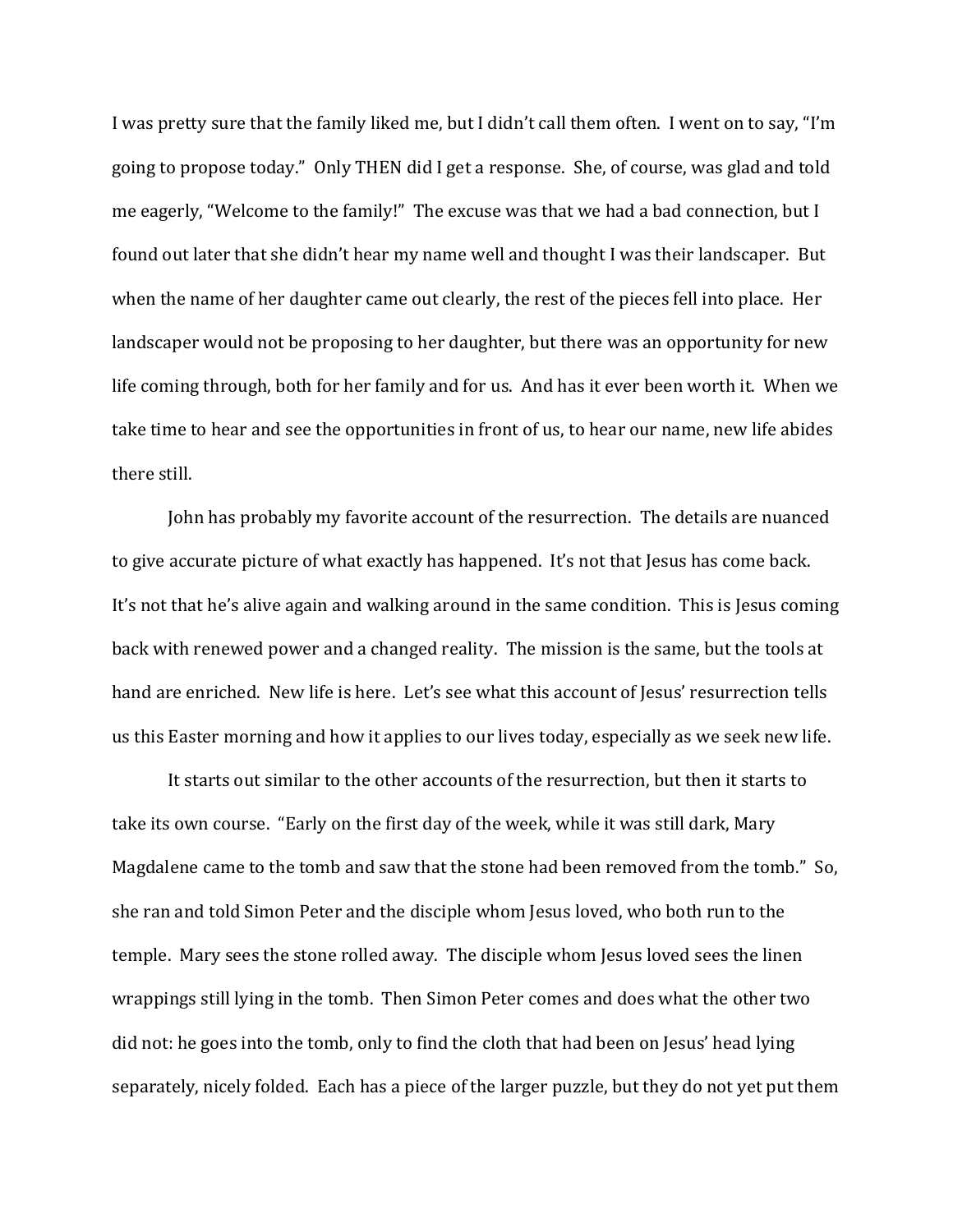I was pretty sure that the family liked me, but I didn't call them often. I went on to say, "I'm going to propose today." Only THEN did I get a response. She, of course, was glad and told me eagerly, "Welcome to the family!" The excuse was that we had a bad connection, but I found out later that she didn't hear my name well and thought I was their landscaper. But when the name of her daughter came out clearly, the rest of the pieces fell into place. Her landscaper would not be proposing to her daughter, but there was an opportunity for new life coming through, both for her family and for us. And has it ever been worth it. When we take time to hear and see the opportunities in front of us, to hear our name, new life abides there still.

 John has probably my favorite account of the resurrection. The details are nuanced to give accurate picture of what exactly has happened. It's not that Jesus has come back. It's not that he's alive again and walking around in the same condition. This is Jesus coming back with renewed power and a changed reality. The mission is the same, but the tools at hand are enriched. New life is here. Let's see what this account of Jesus' resurrection tells us this Easter morning and how it applies to our lives today, especially as we seek new life.

It starts out similar to the other accounts of the resurrection, but then it starts to take its own course. "Early on the first day of the week, while it was still dark, Mary Magdalene came to the tomb and saw that the stone had been removed from the tomb." So, she ran and told Simon Peter and the disciple whom Jesus loved, who both run to the temple. Mary sees the stone rolled away. The disciple whom Jesus loved sees the linen wrappings still lying in the tomb. Then Simon Peter comes and does what the other two did not: he goes into the tomb, only to find the cloth that had been on Jesus' head lying separately, nicely folded. Each has a piece of the larger puzzle, but they do not yet put them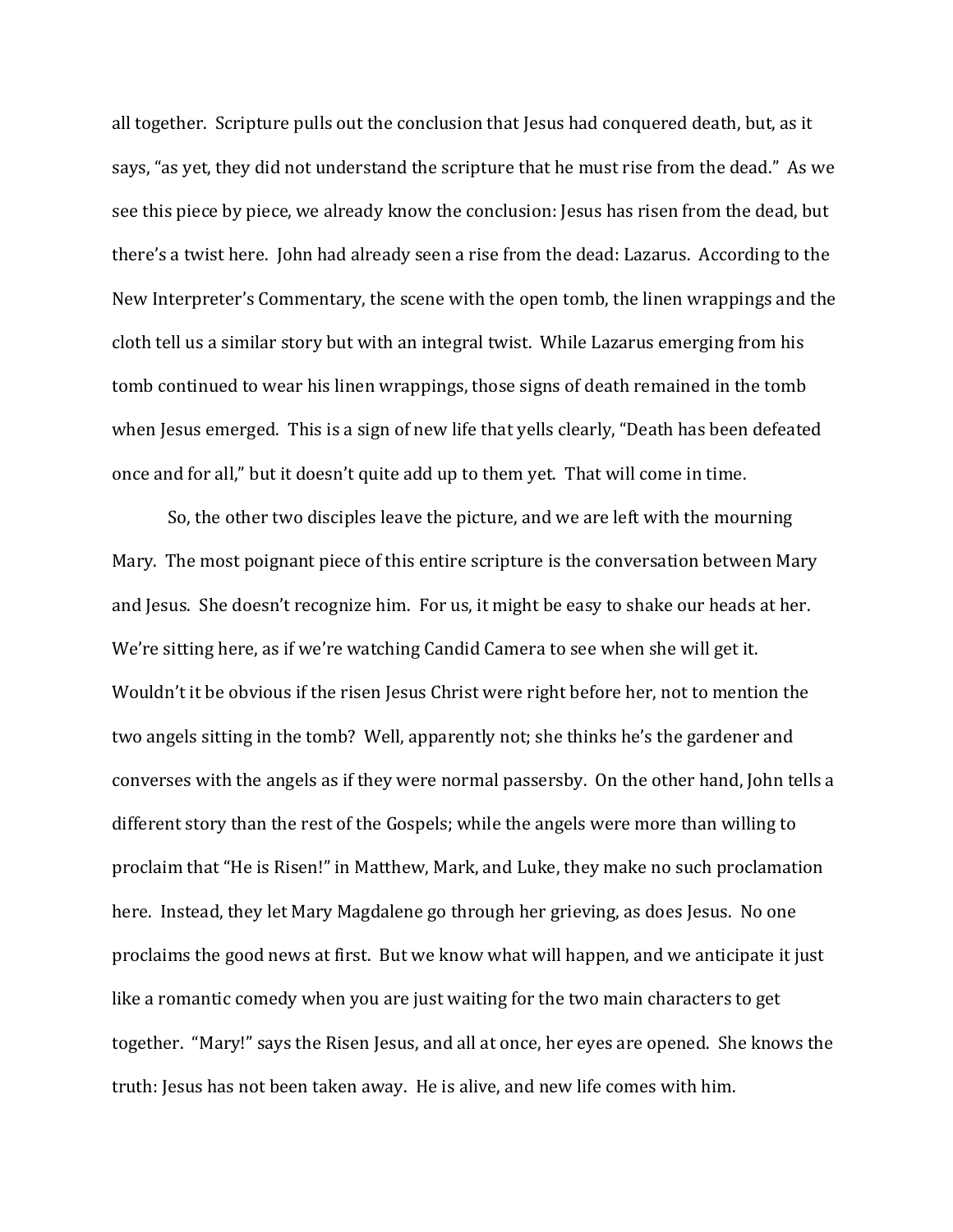all together. Scripture pulls out the conclusion that Jesus had conquered death, but, as it says, "as yet, they did not understand the scripture that he must rise from the dead." As we see this piece by piece, we already know the conclusion: Jesus has risen from the dead, but there's a twist here. John had already seen a rise from the dead: Lazarus. According to the New Interpreter's Commentary, the scene with the open tomb, the linen wrappings and the cloth tell us a similar story but with an integral twist. While Lazarus emerging from his tomb continued to wear his linen wrappings, those signs of death remained in the tomb when Jesus emerged. This is a sign of new life that yells clearly, "Death has been defeated once and for all," but it doesn't quite add up to them yet. That will come in time.

 So, the other two disciples leave the picture, and we are left with the mourning Mary. The most poignant piece of this entire scripture is the conversation between Mary and Jesus. She doesn't recognize him. For us, it might be easy to shake our heads at her. We're sitting here, as if we're watching Candid Camera to see when she will get it. Wouldn't it be obvious if the risen Jesus Christ were right before her, not to mention the two angels sitting in the tomb? Well, apparently not; she thinks he's the gardener and converses with the angels as if they were normal passersby. On the other hand, John tells a different story than the rest of the Gospels; while the angels were more than willing to proclaim that "He is Risen!" in Matthew, Mark, and Luke, they make no such proclamation here. Instead, they let Mary Magdalene go through her grieving, as does Jesus. No one proclaims the good news at first. But we know what will happen, and we anticipate it just like a romantic comedy when you are just waiting for the two main characters to get together. "Mary!" says the Risen Jesus, and all at once, her eyes are opened. She knows the truth: Jesus has not been taken away. He is alive, and new life comes with him.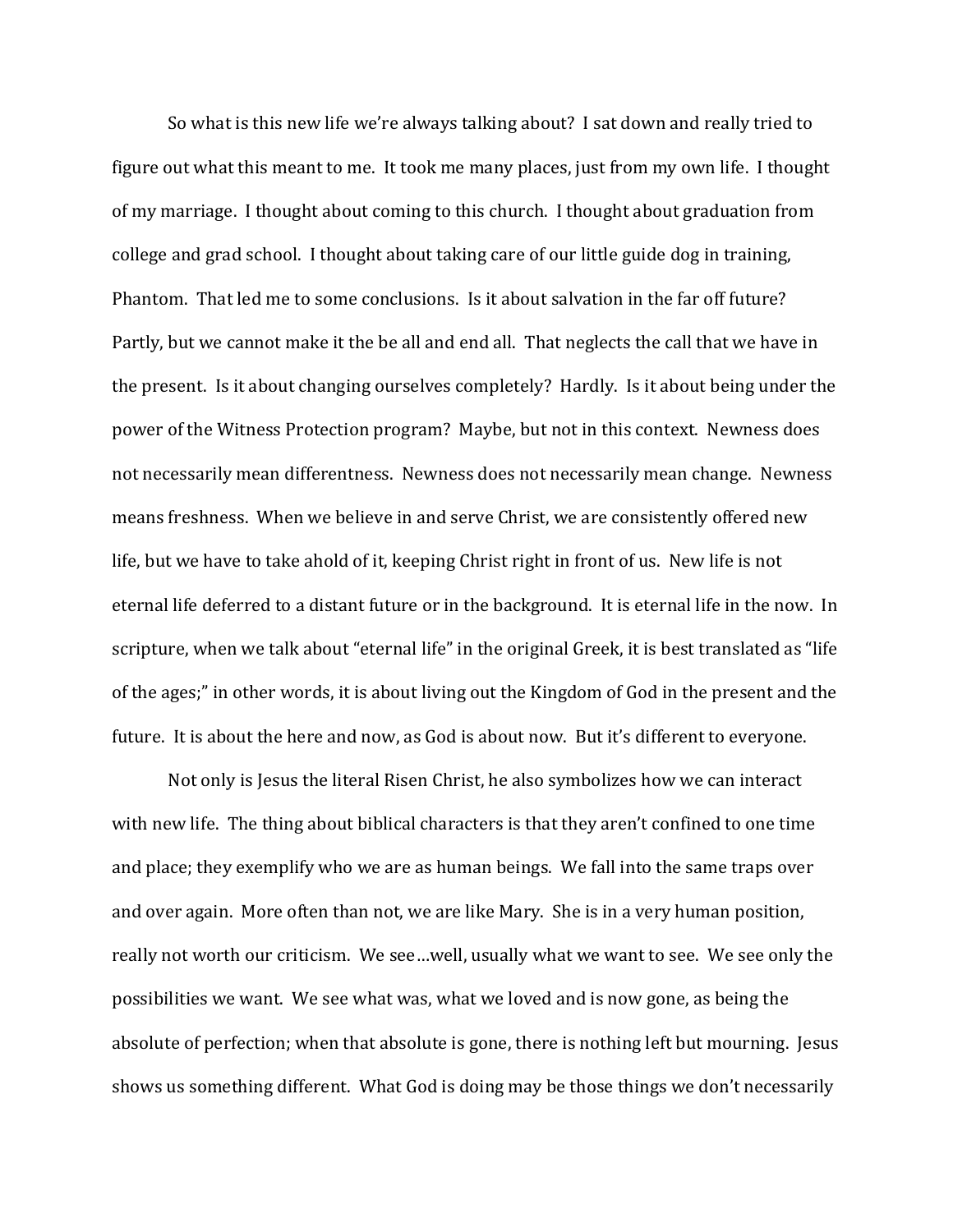So what is this new life we're always talking about? I sat down and really tried to figure out what this meant to me. It took me many places, just from my own life. I thought of my marriage. I thought about coming to this church. I thought about graduation from college and grad school. I thought about taking care of our little guide dog in training, Phantom. That led me to some conclusions. Is it about salvation in the far off future? Partly, but we cannot make it the be all and end all. That neglects the call that we have in the present. Is it about changing ourselves completely? Hardly. Is it about being under the power of the Witness Protection program? Maybe, but not in this context. Newness does not necessarily mean differentness. Newness does not necessarily mean change. Newness means freshness. When we believe in and serve Christ, we are consistently offered new life, but we have to take ahold of it, keeping Christ right in front of us. New life is not eternal life deferred to a distant future or in the background. It is eternal life in the now. In scripture, when we talk about "eternal life" in the original Greek, it is best translated as "life of the ages;" in other words, it is about living out the Kingdom of God in the present and the future. It is about the here and now, as God is about now. But it's different to everyone.

 Not only is Jesus the literal Risen Christ, he also symbolizes how we can interact with new life. The thing about biblical characters is that they aren't confined to one time and place; they exemplify who we are as human beings. We fall into the same traps over and over again. More often than not, we are like Mary. She is in a very human position, really not worth our criticism. We see…well, usually what we want to see. We see only the possibilities we want. We see what was, what we loved and is now gone, as being the absolute of perfection; when that absolute is gone, there is nothing left but mourning. Jesus shows us something different. What God is doing may be those things we don't necessarily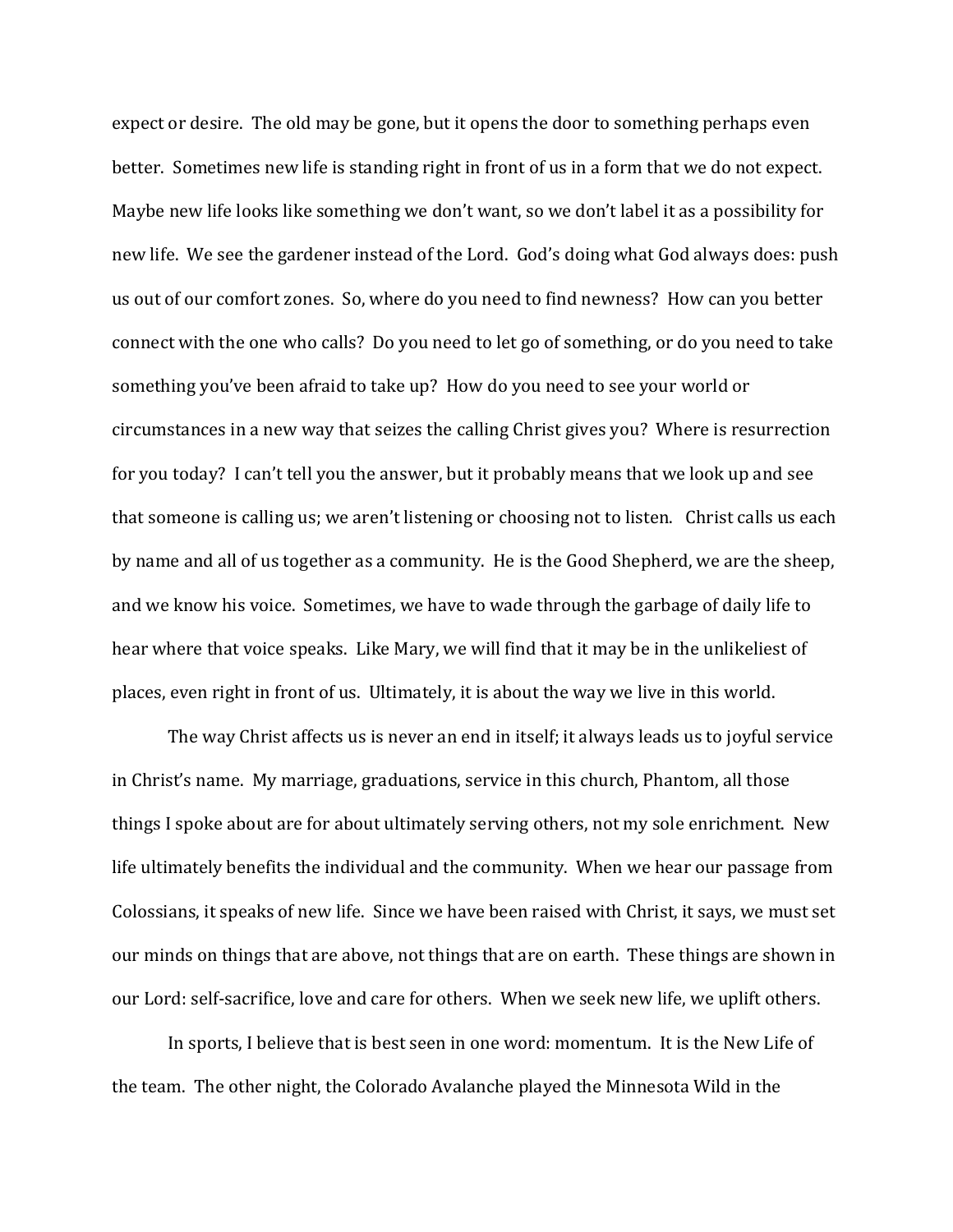expect or desire. The old may be gone, but it opens the door to something perhaps even better. Sometimes new life is standing right in front of us in a form that we do not expect. Maybe new life looks like something we don't want, so we don't label it as a possibility for new life. We see the gardener instead of the Lord. God's doing what God always does: push us out of our comfort zones. So, where do you need to find newness? How can you better connect with the one who calls? Do you need to let go of something, or do you need to take something you've been afraid to take up? How do you need to see your world or circumstances in a new way that seizes the calling Christ gives you? Where is resurrection for you today? I can't tell you the answer, but it probably means that we look up and see that someone is calling us; we aren't listening or choosing not to listen. Christ calls us each by name and all of us together as a community. He is the Good Shepherd, we are the sheep, and we know his voice. Sometimes, we have to wade through the garbage of daily life to hear where that voice speaks. Like Mary, we will find that it may be in the unlikeliest of places, even right in front of us. Ultimately, it is about the way we live in this world.

 The way Christ affects us is never an end in itself; it always leads us to joyful service in Christ's name. My marriage, graduations, service in this church, Phantom, all those things I spoke about are for about ultimately serving others, not my sole enrichment. New life ultimately benefits the individual and the community. When we hear our passage from Colossians, it speaks of new life. Since we have been raised with Christ, it says, we must set our minds on things that are above, not things that are on earth. These things are shown in our Lord: self-sacrifice, love and care for others. When we seek new life, we uplift others.

In sports, I believe that is best seen in one word: momentum. It is the New Life of the team. The other night, the Colorado Avalanche played the Minnesota Wild in the